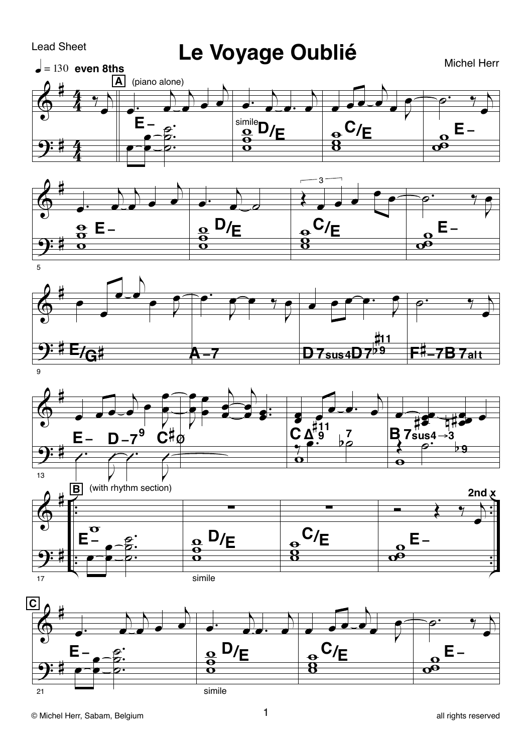## **Lead Sheet**

## Le Voyage Oublié

**Michel Herr** 





5







 $\mathbf{1}$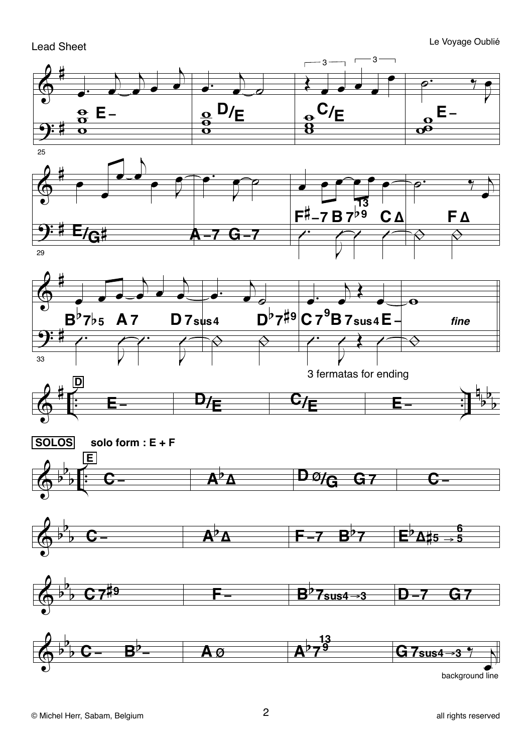